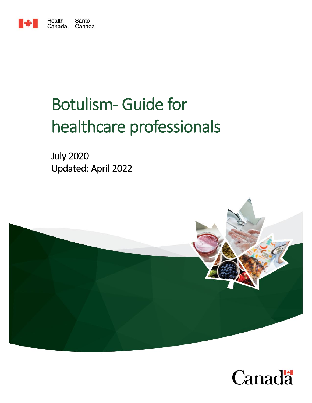

# Botulism- Guide for healthcare professionals

July 2020 Updated: April 2022



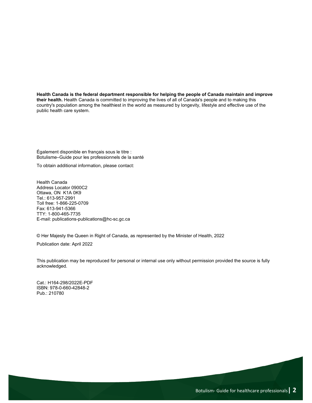**Health Canada is the federal department responsible for helping the people of Canada maintain and improve their health.** Health Canada is committed to improving the lives of all of Canada's people and to making this country's population among the healthiest in the world as measured by longevity, lifestyle and effective use of the public health care system.

Également disponible en français sous le titre : Botulisme–Guide pour les professionnels de la santé

To obtain additional information, please contact:

Health Canada Address Locator 0900C2 Ottawa, ON K1A 0K9 Tel.: 613-957-2991 Toll free: 1-866-225-0709 Fax: 613-941-5366 TTY: 1-800-465-7735 E-mail: publications-publications@hc-sc.gc.ca

© Her Majesty the Queen in Right of Canada, as represented by the Minister of Health, 2022

Publication date: April 2022

This publication may be reproduced for personal or internal use only without permission provided the source is fully acknowledged.

Cat.: H164-298/2022E-PDF ISBN: 978-0-660-42848-2 Pub.: 210780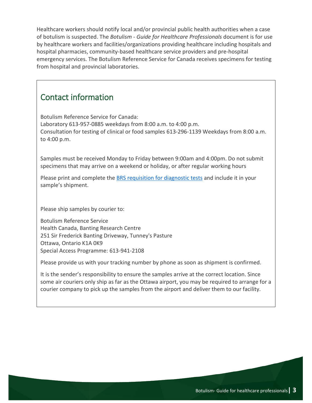Healthcare workers should notify local and/or provincial public health authorities when a case of botulism is suspected. The *Botulism - Guide for Healthcare Professionals* document is for use by healthcare workers and facilities/organizations providing healthcare including hospitals and hospital pharmacies, community-based healthcare service providers and pre-hospital emergency services. The Botulism Reference Service for Canada receives specimens for testing from hospital and provincial laboratories.

#### Contact information

Botulism Reference Service for Canada: Laboratory 613-957-0885 weekdays from 8:00 a.m. to 4:00 p.m. Consultation for testing of clinical or food samples 613-296-1139 Weekdays from 8:00 a.m. to 4:00 p.m.

Samples must be received Monday to Friday between 9:00am and 4:00pm. Do not submit specimens that may arrive on a weekend or holiday, or after regular working hours

Please print and complete the **BRS requisition for diagnostic tests** and include it in your sample's shipment.

Please ship samples by courier to:

Botulism Reference Service Health Canada, Banting Research Centre 251 Sir Frederick Banting Driveway, Tunney's Pasture Ottawa, Ontario K1A 0K9 Special Access Programme: 613-941-2108

Please provide us with your tracking number by phone as soon as shipment is confirmed.

It is the sender's responsibility to ensure the samples arrive at the correct location. Since some air couriers only ship as far as the Ottawa airport, you may be required to arrange for a courier company to pick up the samples from the airport and deliver them to our facility.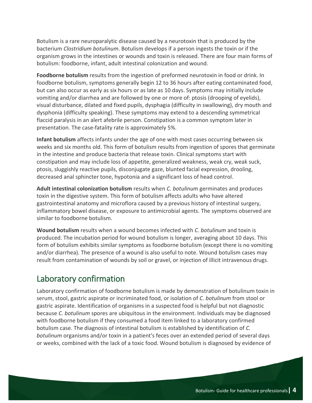Botulism is a rare neuroparalytic disease caused by a neurotoxin that is produced by the bacterium *Clostridium botulinum*. Botulism develops if a person ingests the toxin or if the organism grows in the intestines or wounds and toxin is released. There are four main forms of botulism: foodborne, infant, adult intestinal colonization and wound.

**Foodborne botulism** results from the ingestion of preformed neurotoxin in food or drink. In foodborne botulism, symptoms generally begin 12 to 36 hours after eating contaminated food, but can also occur as early as six hours or as late as 10 days. Symptoms may initially include vomiting and/or diarrhea and are followed by one or more of: ptosis (drooping of eyelids), visual disturbance, dilated and fixed pupils, dysphagia (difficulty in swallowing), dry mouth and dysphonia (difficulty speaking). These symptoms may extend to a descending symmetrical flaccid paralysis in an alert afebrile person. Constipation is a common symptom later in presentation. The case-fatality rate is approximately 5%.

**Infant botulism** affects infants under the age of one with most cases occurring between six weeks and six months old. This form of botulism results from ingestion of spores that germinate in the intestine and produce bacteria that release toxin. Clinical symptoms start with constipation and may include loss of appetite, generalized weakness, weak cry, weak suck, ptosis, sluggishly reactive pupils, disconjugate gaze, blunted facial expression, drooling, decreased anal sphincter tone, hypotonia and a significant loss of head control.

**Adult intestinal colonization botulism** results when *C. botulinum* germinates and produces toxin in the digestive system. This form of botulism affects adults who have altered gastrointestinal anatomy and microflora caused by a previous history of intestinal surgery, inflammatory bowel disease, or exposure to antimicrobial agents. The symptoms observed are similar to foodborne botulism.

**Wound botulism** results when a wound becomes infected with *C. botulinum* and toxin is produced. The incubation period for wound botulism is longer, averaging about 10 days. This form of botulism exhibits similar symptoms as foodborne botulism (except there is no vomiting and/or diarrhea). The presence of a wound is also useful to note. Wound botulism cases may result from contamination of wounds by soil or gravel, or injection of illicit intravenous drugs.

## Laboratory confirmation

Laboratory confirmation of foodborne botulism is made by demonstration of botulinum toxin in serum, stool, gastric aspirate or incriminated food, or isolation of *C. botulinum* from stool or gastric aspirate. Identification of organisms in a suspected food is helpful but not diagnostic because *C. botulinum* spores are ubiquitous in the environment. Individuals may be diagnosed with foodborne botulism if they consumed a food item linked to a laboratory confirmed botulism case. The diagnosis of intestinal botulism is established by identification of *C. botulinum* organisms and/or toxin in a patient's feces over an extended period of several days or weeks, combined with the lack of a toxic food. Wound botulism is diagnosed by evidence of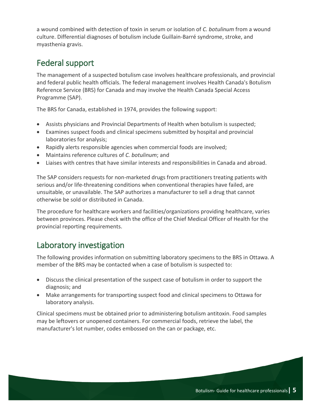a wound combined with detection of toxin in serum or isolation of *C. botulinum* from a wound culture. Differential diagnoses of botulism include Guillain-Barré syndrome, stroke, and myasthenia gravis.

## Federal support

The management of a suspected botulism case involves healthcare professionals, and provincial and federal public health officials. The federal management involves Health Canada's Botulism Reference Service (BRS) for Canada and may involve the Health Canada Special Access Programme (SAP).

The BRS for Canada, established in 1974, provides the following support:

- Assists physicians and Provincial Departments of Health when botulism is suspected;
- Examines suspect foods and clinical specimens submitted by hospital and provincial laboratories for analysis;
- Rapidly alerts responsible agencies when commercial foods are involved;
- Maintains reference cultures of *C. botulinum*; and
- Liaises with centres that have similar interests and responsibilities in Canada and abroad.

The SAP considers requests for non-marketed drugs from practitioners treating patients with serious and/or life-threatening conditions when conventional therapies have failed, are unsuitable, or unavailable. The SAP authorizes a manufacturer to sell a drug that cannot otherwise be sold or distributed in Canada.

The procedure for healthcare workers and facilities/organizations providing healthcare, varies between provinces. Please check with the office of the Chief Medical Officer of Health for the provincial reporting requirements.

# Laboratory investigation

The following provides information on submitting laboratory specimens to the BRS in Ottawa. A member of the BRS may be contacted when a case of botulism is suspected to:

- Discuss the clinical presentation of the suspect case of botulism in order to support the diagnosis; and
- Make arrangements for transporting suspect food and clinical specimens to Ottawa for laboratory analysis.

Clinical specimens must be obtained prior to administering botulism antitoxin. Food samples may be leftovers or unopened containers. For commercial foods, retrieve the label, the manufacturer's lot number, codes embossed on the can or package, etc.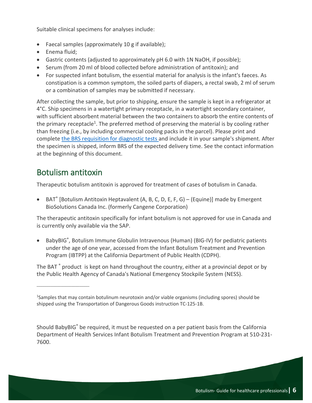Suitable clinical specimens for analyses include:

- Faecal samples (approximately 10 g if available);
- Enema fluid;
- Gastric contents (adjusted to approximately pH 6.0 with 1N NaOH, if possible);
- Serum (from 20 ml of blood collected before administration of antitoxin); and
- For suspected infant botulism, the essential material for analysis is the infant's faeces. As constipation is a common symptom, the soiled parts of diapers, a rectal swab, 2 ml of serum or a combination of samples may be submitted if necessary.

After collecting the sample, but prior to shipping, ensure the sample is kept in a refrigerator at 4°C. Ship specimens in a watertight primary receptacle, in a watertight secondary container, with sufficient absorbent material between the two containers to absorb the entire contents of the primary receptacle<sup>1</sup>. The preferred method of preserving the material is by cooling rather than freezing (i.e., by including commercial cooling packs in the parcel). Please print and complete [the BRS requisition for diagnostic tests](https://canada.ca/content/dam/hc-sc/documents/services/food-nutrition/legislation-guidelines/guidance-documents/botulism-guide-healthcare-professionals-2012/brs-requisition-diagnostic-tests/BRS-SRB-REQ-v0-ENG-2022.pdf) and include it in your sample's shipment. After the specimen is shipped, inform BRS of the expected delivery time. See the contact information at the beginning of this document.

## Botulism antitoxin

 $\overline{\phantom{a}}$  , which is a set of the set of the set of the set of the set of the set of the set of the set of the set of the set of the set of the set of the set of the set of the set of the set of the set of the set of th

Therapeutic botulism antitoxin is approved for treatment of cases of botulism in Canada.

• BAT<sup>®</sup> [Botulism Antitoxin Heptavalent (A, B, C, D, E, F, G) – (Equine)] made by Emergent BioSolutions Canada Inc. (formerly Cangene Corporation)

The therapeutic antitoxin specifically for infant botulism is not approved for use in Canada and is currently only available via the SAP.

BabyBIG®, Botulism Immune Globulin Intravenous (Human) (BIG-IV) for pediatric patients under the age of one year, accessed from the Infant Botulism Treatment and Prevention Program (IBTPP) at the California Department of Public Health (CDPH).

The BAT<sup>®</sup> product is kept on hand throughout the country, either at a provincial depot or by the Public Health Agency of Canada's National Emergency Stockpile System (NESS).

Should BabyBIG® be required, it must be requested on a per patient basis from the California Department of Health Services Infant Botulism Treatment and Prevention Program at 510-231- 7600.

<sup>&</sup>lt;sup>1</sup>Samples that may contain botulinum neurotoxin and/or viable organisms (including spores) should be shipped using the Transportation of Dangerous Goods instruction TC-125-1B.